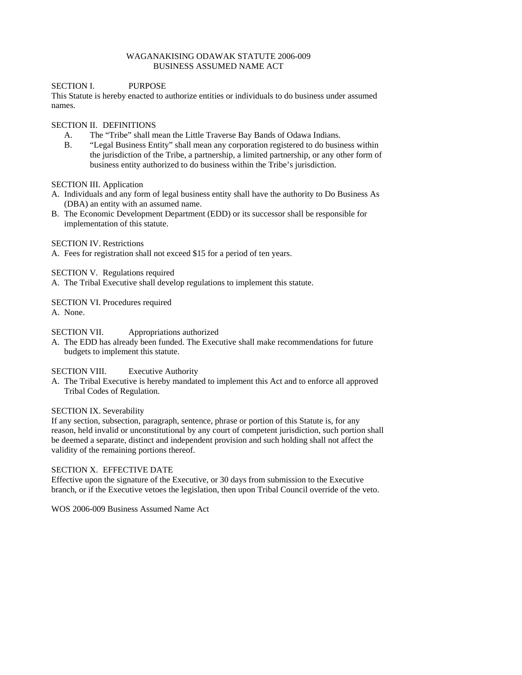#### WAGANAKISING ODAWAK STATUTE 2006-009 BUSINESS ASSUMED NAME ACT

## SECTION I. PURPOSE

This Statute is hereby enacted to authorize entities or individuals to do business under assumed names.

## SECTION II. DEFINITIONS

- A. The "Tribe" shall mean the Little Traverse Bay Bands of Odawa Indians.
- B. "Legal Business Entity" shall mean any corporation registered to do business within the jurisdiction of the Tribe, a partnership, a limited partnership, or any other form of business entity authorized to do business within the Tribe's jurisdiction.

#### SECTION III. Application

- A. Individuals and any form of legal business entity shall have the authority to Do Business As (DBA) an entity with an assumed name.
- B. The Economic Development Department (EDD) or its successor shall be responsible for implementation of this statute.

## SECTION IV. Restrictions

A. Fees for registration shall not exceed \$15 for a period of ten years.

## SECTION V. Regulations required

A. The Tribal Executive shall develop regulations to implement this statute.

#### SECTION VI. Procedures required

A. None.

# SECTION VII. Appropriations authorized

A. The EDD has already been funded. The Executive shall make recommendations for future budgets to implement this statute.

# SECTION VIII. Executive Authority

A. The Tribal Executive is hereby mandated to implement this Act and to enforce all approved Tribal Codes of Regulation.

#### SECTION IX. Severability

If any section, subsection, paragraph, sentence, phrase or portion of this Statute is, for any reason, held invalid or unconstitutional by any court of competent jurisdiction, such portion shall be deemed a separate, distinct and independent provision and such holding shall not affect the validity of the remaining portions thereof.

#### SECTION X. EFFECTIVE DATE

Effective upon the signature of the Executive, or 30 days from submission to the Executive branch, or if the Executive vetoes the legislation, then upon Tribal Council override of the veto.

WOS 2006-009 Business Assumed Name Act